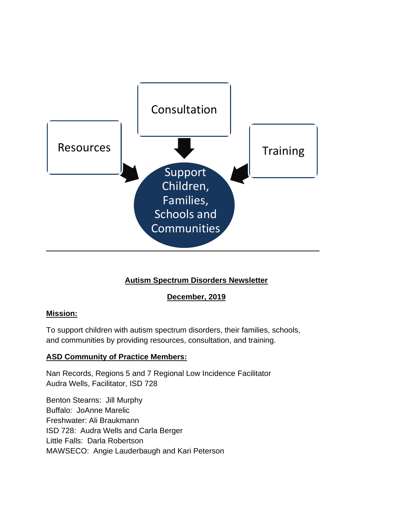

# **Autism Spectrum Disorders Newsletter**

## **December, 2019**

## **Mission:**

To support children with autism spectrum disorders, their families, schools, and communities by providing resources, consultation, and training.

## **ASD Community of Practice Members:**

Nan Records, Regions 5 and 7 Regional Low Incidence Facilitator Audra Wells, Facilitator, ISD 728

Benton Stearns: Jill Murphy Buffalo: JoAnne Marelic Freshwater: Ali Braukmann ISD 728: Audra Wells and Carla Berger Little Falls: Darla Robertson MAWSECO: Angie Lauderbaugh and Kari Peterson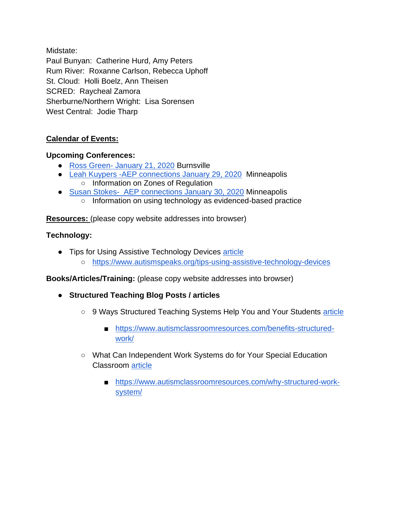Midstate:

Paul Bunyan: Catherine Hurd, Amy Peters Rum River: Roxanne Carlson, Rebecca Uphoff St. Cloud: Holli Boelz, Ann Theisen SCRED: Raycheal Zamora Sherburne/Northern Wright: Lisa Sorensen West Central: Jodie Tharp

# **Calendar of Events:**

## **Upcoming Conferences:**

- Ross Green- [January 21, 2020](https://www.macmh.org/event-page/special-full-day-training-event/) Burnsville
- [Leah Kuypers -AEP connections January 29, 2020](https://aepconnections.com/product/minneapolis-mn-2/) Minneapolis ○ Information on Zones of Regulation
- [Susan Stokes- AEP connections January 30, 2020](https://aepconnections.com/product/minneapolis-mn-2/) Minneapolis
	- Information on using technology as evidenced-based practice

**Resources:** (please copy website addresses into browser)

#### **Technology:**

● Tips for Using Assistive Technology Devices [article](https://www.autismspeaks.org/tips-using-assistive-technology-devices) ○ <https://www.autismspeaks.org/tips-using-assistive-technology-devices>

**Books/Articles/Training:** (please copy website addresses into browser)

- **Structured Teaching Blog Posts / articles**
	- 9 Ways Structured Teaching Systems Help You and Your Students [article](https://www.autismclassroomresources.com/benefits-structured-work/)
		- [https://www.autismclassroomresources.com/benefits-structured](https://www.autismclassroomresources.com/benefits-structured-work/)[work/](https://www.autismclassroomresources.com/benefits-structured-work/)
	- What Can Independent Work Systems do for Your Special Education Classroom [article](https://www.autismclassroomresources.com/why-structured-work-system/)
		- [https://www.autismclassroomresources.com/why-structured-work](https://www.autismclassroomresources.com/why-structured-work-system/)[system/](https://www.autismclassroomresources.com/why-structured-work-system/)